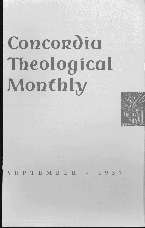# **Concordia Theological Monthly**



SEPTEMBER ~ 1957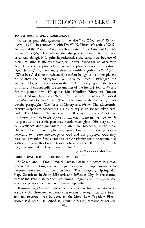## DO WE NEED A SPACE CHRISTOLOGY?

A writer puts this question in the *Anglican Theological Review*  (April 1957) in connection with Dr. W. N. Pittenger's article "Christianity and the Man on Mars," which appeared in the *Christian Century*  (June 20, 1956). He believes that the problem cannot be dismissed as unreal, though it is quite hypothetical, since earth-men, because of their limitation in life span alone, will never invade the universe very far. But the conception of life on other planets raises the question: "Can Jesus Christ have more than an earthly significance?" Again: "What has God done to redeem the sentient beings of his other planets or do they need redemption like the human race?" Pittenger, the writer thinks, offers a solution to the problem by saying that the Jesus of history is undoubtedly the incarnation of the Eternal Son, or Word, for the planet earth. He quotes Mrs. Hamilton King's well-known lines: "God may have other \lV' ords for other worlds, but for *this* world the Word of God is Christ." The article contains the following noteworthy paragraph: "The Jesus of history is a *given.* The nineteenthcentury skepticism concerning his historicity is no longer taken seriously. The 'Christ-myth' has become itself a myth. Jesus will not lose his existence either in history or in immortality, no matter how much his place in this cosmic plan may puzzle theologians. His very spiritual excellence alone guarantees him attention. Moreover, as the Neo-Orthodox have been emphasizing, some kind of Christology seems necessary to a sure knowledge of God and his purposes. One may reasonably wonder if the assurances of Christianity could be maintained with a unitarian theology. Christians have always felt that that which they encountered in Christ was absolute."

JOHN THEODORE MUELLER

# BRIEF ITEMS FROM "RELIGIOUS NEWS SERVICE"

St. Louis, Mo. - Two Missouri Roman Catholic dioceses less than a year old are taking the first steps toward setting up seminaries to prepare native sons for the priesthood. The dioceses of Springfield-Cape Girardeau, in South Missouri, and Jefferson City, in the central part of the state, plan to open pretraining programs on the high school level for prospective seminarians next September.

*Washington, D.C.* - Establishment of a school for diplomatic service by a church-related university represents a recognition that international relations must be based on the Moral Law, President Eisenhower said here. He joined in ground-breaking ceremonies for the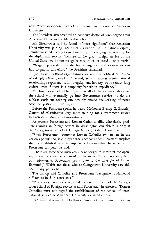new Protestant-oriented school of international service at American University.

The President also accepted an honorary doctor of laws degree from American University, a Methodist school.

Mr. Eisenhower said he found it "most significant" that American University was joining "her sister institution" in the nation's capital, Jesuit-sponsored Georgetown University, in carrying on training for the diplomatic service, "because in the great foreign service of the United States we do not recognize race, color, or creed - only merit."

"Waging peace demands the best young men and women we can find to put in this effort," the President remarked.

"Just as our political organizations are really a political expression of a deeply felt religious faith," he said, "so must success in international relationships represent truth, integrity, and honesty, or it cannot long endure, even if there is a temporary benefit in expediency."

Mr. Eisenhower added he hoped that all of the students who enter the school will eventually go into Government service "to do the noblest work our country can possibly pursue, the seeking of peace based on justice and the right."

Before the President spoke, he heard Methodist Bishop G. Bromley Oxnam of Washington urge more training for Government service in Protestant educational institutions.

At present, Protestant and Roman Catholics alike who desire graduate training in foreign service in Washington can obtain it only at the Georgetown School of Foreign Service, Bishop Oxnam said.

"Since Protestants outnumber Roman Catholics two to one in the nation's population, it is proper that a school under Protestant auspices shall be established in an atmosphere of freedom that characterizes the Protestant campus," he said.

"There are some who mistakenly have sought to interpret the opening of such a school as an anti-Catholic move. This is not only false but unfortunate. Protestants pay tribute to the foresight of Father Edmund J. Walsh and those who at Georgetown University saw this need many years ago."

The bishop said Catholics and Protestants "recognize fundamental differences held in conscience."

"Protestants have never regarded the establishment of the Georgetown School of Foreign Service as anti-Protestant," he asserted. "Roman Catholics must not regard the establishment of the school of international service at American University as anti-Catholic."

*Appleton, Wis.* - The Northwest Synod of the United Lutheran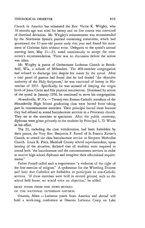Church in America has reinstated the Rev. Victor K. Wrigley, who 18 months ago was tried for heresy and on five counts was convicted of doctrinal deviation. Mr. Wrigley's reinstatement was recommended by the Northwest Synod's pastoral examining committee, which had questioned the 37-year-old pastor early this year and found his statement of Christian faith without error. Delegates to the synod's annual meeting here, May 21-23, voted unanimously to accept the committee's recommendation. There was no discussion before the action was taken.

Mr. Wrigley is pastor of Gethsemane Lutheran Church in Brookfield, Wis., a suburb of Milwaukee. The 400-member congregation had refused to discharge him despite his ouster by the synod. After a trial panel of pastors had found that he had denied "the objective authority of the Holy Scriptures," he was convicted of heresy in November of 1955. Specifically, he was accused of denying the virgin birth of Jesus Christ and His physical resurrection. Dismissed by action of the synod in January 1956, he continued to serve his congregation.

*Moundsville, W. Va.* - Twenty-two Roman Catholic members of the Moundsville High School graduating class were barred from taking part in commencement exercises. Their principal barred them because they had refused to attend baccalaureate services in a Protestant church. They sat at the exercises as spectators. After the public ceremony, diplomas were given privately to the students by Principal 1. D. Wiant in his office.

The 22, including the class valedictorian, had been forbidden by their pastor, the Very Rev. Benjamin F. Farrell of St. Francis Xavier's Church, to attend the class baccalaureate service in Simpson Methodist Church. Louis R. Potts, Marshall County school superintendent, upon hearing of the situation, declared that all students were required to attend both "the baccalaureate and the commencement services in order to receive high school diplomas and complete their educational requirements."

Father Farrell called such a requirement "a violation of the right of the free exercise of religion." A spokesman for the Wheeling Diocese said later that Catholics are forbidden to participate in non-Catholic services. "If these exercises were held in neutral ground, such as the school field house, we would voice no objection," he added.

### BRIEF ITEMS FROM THE NEWS BUREAU

OF THE NATIONAL LUTHERAN COUNCIL

*Onamia, Minn.* - Lutheran youth from America and abroad will hold a week-long conference at Onamia Lutheran Camp on Lake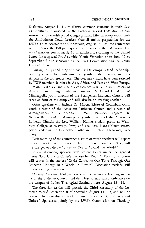Shakopee, August  $4-11$ , to discuss common concerns in their lives as Christians. Sponsored by the Lutheran World Federation's Commission on Stewardship and Congregational Life, in co-operation with the All-Lutheran Youth Leaders' Council and in preparation for the LWF's Third Assembly at Minneapolis, August 15–25, the conference will introduce the 150 participants to the work of the federation. The non-American guests, nearly 70 in number, are coming to the United States for a special Pre-Assembly Youth Visitation from June 19 to September 4, also sponsored by the LWF Commission and the Youth Leaders' CounciL

During this period they will visit Bible camps, attend leadershiptraining schools, live with American youth in their homes, and participate in the conference here. The overseas visitors have been selected by LWF member churches in Asia, Africa, and East and West Europe.

Main speakers at the Onamia conference will be youth directors of American and foreign Lutheran churches. Dr. Carrol Hunderlie of Minneapolis, youth director of the Evangelical Lutheran Church, will serve as dean of the camp and will also be an evening speaker.

Other speakers will include Dr. Marcus Rieke of Columbus, Ohio, youth director of the American lutheran Church and director of Arrangements for the Pre-Assembly Youth Visitation program; Dr. Wilton Bergstrand of Minneapolis, youth director of the Augustana Lutheran Church; the Rev. William Hulme, student pastor at Wartburg College at Waverly, Iowa; and the Rev. Hans-Helmut Peters, youth leader in the Evangelical Lutheran Church of Hannover, Germany.

Each morning of the conference a series of youth speakers will report on youth work done in their churches in different countries. They will use the general theme "Lutheran Youth Around the World."

In the afternoon, speakers will present topics under the general theme "Our Unity in Christ's Purpose for Youth." Evening programs will center in the subject "Christ Confronts Our Time Through Our Lutheran Heritage in a World in Revolt." Discussion periods will follow each presentation.

*St. Paul, Minn.* - Theologians who are active in the teaching ministry of the Lutheran Church hold their first international conference on the campus of Luther Theological Seminary here, August 12–14.

The three-day session will precede the Third Assembly of the Lutheran \lV'orld Federation at Minneapolis, August 15-25, and will be devoted chiefly to discussion of the assembly theme, "Christ Frees and Unites." Sponsored jointly by the LWF's Commission on Theology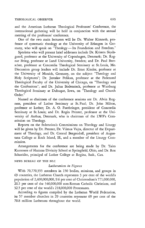and the American Lutheran Theological Professors' Conference, the international gathering will be held in conjunction with the annual meeting of the professors' conference.

One of the two main lecturers will be Dr. Walter Künneth, professor of systematic theology at the University of Erlangen in Germany, who will speak on "Theology - Its Foundation and Freedom."

Speakers who will present brief addresses include Dr. Kristen Skydsgaard, professor at the University of Copenhagen, Denmark; Dr. Ragnar Bring, professor at Lund University, Sweden; and Dr. Paul Bretscher, professor at Concordia Theological Seminary at St. Louis, Mo. Discussion group leaders will include Dr. Ernst Kinder, professor at the University of Munich, Germany, on the subject "Theology and Holy Scriptures"; Dr. Jaroslav Pelikan, professor at the Federated Theological Faculty of the University of Chicago, on "Theology and the Confessions"; and Dr. Julius Bodensieck, professor at Wartburg Theological Seminary at Dubuque, Iowa, on "Theology and Church Order."

Named as chairmen of the conference sessions are Dr. Alvin Rogness, president of Luther Seminary at St. Paul; Dr. John Milton, professor at Luther; Dr. A. O. Fuerbringer, president of Concordia Seminary at St. Louis; and Dr. Regin Prenter, professor at the University of Aarhus, Denmark, who is chairman of the LWF's Commission on Theology.

Reports on the federation's Commissions on Theology and Liturgy will be given by Dr. Prenter, Dr. Vilmos Vajta, director of the Department of Theology, and Dr. Conrad Bergendoff, president of Augustana College at Rock Island, Ill., and a member of the Liturgy Commission.

Arrangements for the conference are being made by Dr. Taito Kantonen of Hamma Divinity School at Springfield, Ohio, and Dr. Rex Schneider, principal of Luther College at Regina, Sask., Can.

### NEWS BUREAU OF THE NLC

# *Lutheranism in Figures*

With 70,770,355 members in 150 bodies, missions, and groups in 69 countries, the Lutheran Church represents 3 per cent of the world's population of 2,400,000,000, 9.6 per cent of Christendom's 771,000,000, 20.5 per cent of the 346,000,000 non-Roman Catholic Christians, and 32.5 per cent of the world's 218,000,000 Protestants.

According to figures compiled by the Lutheran World Federation, its 57 member churches in 29 countries represent 69 per cent of the 70.8 million Lutherans throughout the world.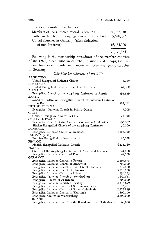The total is made up as follows:

| Members of the Lutheran World Federation  48,977,258           |            |
|----------------------------------------------------------------|------------|
| Lutheran churches and congregations outside the LWF. 5,628,097 |            |
| United churches in Germany (after deduction                    |            |
|                                                                | 16,165,000 |
|                                                                | 70,770,355 |

Following is the membership breakdown of the member churches of the LWF, other Lutheran churches, missions, and groups, German union churches with Lutheran members, and other evangelical churches in Germany: *The Member Churches of the LWF* 

| ARGENTINA                                                       |           |
|-----------------------------------------------------------------|-----------|
| United Evangelical Lutheran Church                              | 3,759     |
| <b>AUSTRALIA</b>                                                |           |
| United Evangelical Lutheran Church in Australia                 | 47,968    |
| AUSTRIA                                                         |           |
| Evangelical Church of the Augsburg Confession in Austria        | 391,829   |
| <b>BRAZIL</b>                                                   |           |
| Synodical Federation, Evangelical Church of Lutheran Confession |           |
| in Brazil                                                       | 504,811   |
| BRITISH GUIANA                                                  |           |
| Evangelical Lutheran Church in British Guiana                   | 7,000     |
| CHILE                                                           |           |
| German Evangelical Church in Chile                              | 25,000    |
| CZECHOSLOVAKIA                                                  |           |
| Evangelical Church of the Augsburg Confession in Slovakia       | 430,507   |
| Silesian Evangelical Church of the Augsburg Confession          | 50,000    |
| DENMARK                                                         |           |
| Evangelical Lutheran Church of Denmark                          | 4,304,000 |
| ESTONIA (exile)                                                 |           |
| Estonian Evangelical Lutheran Church                            | 66,000    |
| FINLAND                                                         |           |
| Finnish Evangelical Lutheran Church                             | 4,225,749 |
| <b>FRANCE</b>                                                   | 241,000   |
| Church of the Augsburg Confession of Alsace and Lorraine        | 42,000    |
| Evangelical Lutheran Church of France<br><b>GERMANY</b>         |           |
| Evangelical Lutheran Church in Bavaria                          | 2,397,375 |
| Evangelical Lutheran Church of Brunswick                        | 700,000   |
| Evangelical Lutheran Church in the State of Hamburg             | 779,000   |
| Evangelical Lutheran Church of Hannover                         | 3,770,000 |
| Evangelical Lutheran Church in Lübeck                           | 194,085   |
| Evangelical Lutheran Church of Mecklenburg                      | 1,144,651 |
| Evangelical Church of Pomerania                                 | 700,000   |
| Evangelical Lutheran Church of Saxony                           | 4,413,699 |
| Evangelical Lutheran Church of Schaumburg-Lippe                 | 75,461    |
| Evangelical Lutheran Church of Schleswig-Holstein               | 2,477,819 |
| Evangelical Lutheran Church in Thuringia                        | 1,800,000 |
| Evangelical Church in Württemberg                               | 2,300,000 |
| <b>HOLLAND</b>                                                  |           |
| Evangelical Lutheran Church in the Kingdom of the Netherlands   | 60,000    |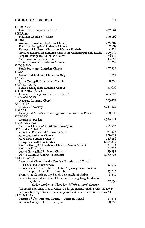YUGOSLAVIA

Lutheran Free Church

United Evangelical Lutheran Church United Lutheran Church in America

Bosnia, and Herzegovina

| HUNGARY                                                                  |           |
|--------------------------------------------------------------------------|-----------|
| Hungarian Evangelical Church<br><b>ICELAND</b>                           | 432,961   |
| National Church of Iceland                                               | 140,000   |
| <b>INDIA</b>                                                             |           |
| Andhra Evangelical Lutheran Church                                       | 249,307   |
| Ebenezer Evangelical Lutheran Church                                     | 32,697    |
| Evangelical Lutheran Church in Madhya Pradesh                            | 4,420     |
| Gossner Evangelical Lutheran Church in Chotanagpur and Assam             | 200,074   |
| Jeypore Evangelical Lutheran Church                                      | 34,410    |
| South Andhra Lutheran Church                                             | 13,854    |
| Tamil Evangelical Lutheran Church                                        | 51,459    |
| <b>INDONESIA</b>                                                         |           |
| Batak Protestant Christian Church                                        | 667,355   |
| ITALY                                                                    |           |
| Evangelical Lutheran Church in Italy                                     | 4,251     |
| JAPAN                                                                    |           |
| Japan Evangelical Lutheran Church                                        | 8,388     |
| LATVIA (exile)                                                           |           |
| Latvian Evangelical Lutheran Church                                      | 12,000    |
| LITHUANIA (exile)                                                        |           |
| Lithuanian Evangelical Lutheran Church                                   | unknown   |
| MADAGASCAR                                                               |           |
| Malagasy Lutheran Church                                                 | 205,494   |
| <b>NORWAY</b>                                                            |           |
| Church of Norway                                                         | 3,155,323 |
| POLAND                                                                   | 220,000   |
| Evangelical Church of the Augsburg Confession in Poland<br><b>SWEDEN</b> |           |
| Church of Sweden                                                         | 7,290,112 |
| TANGANYIKA                                                               |           |
| Lutheran Church of Northern Tanganyika                                   | 105,647   |
| USA and CANADA                                                           |           |
| American Evangelical Lutheran Church                                     | 22,340    |
| American Lutheran Church                                                 | 899,078   |
| Augustana Lutheran Church                                                | 536,886   |
| Evangelical Lutheran Church                                              | 1,004,239 |
| Finnish Evangelical Lutheran Church (Suomi Synod)                        | 34,193    |

the People's Republic of Slovenia Evangelical Church in the People's Republic of Serbia Slovak Evangelical Christian Church of the Augsburg Confession in Yugoslavia *Other Lutheran Churches, Missions, and Groups* 23,242 8,540 57,339 (Churches and other groups which are in permanent relation with the LWF without holding formal membership are marked with an asterisk, thus ") ARGENTINA District of The Lutheran Church - Missouri Synod 17,575

Evangelical Church in the People's Republics of Croatia,

Evangelical Christian Church of the Augsburg Confession in

German Evangelical La Plata Synod 100,000

34,193 72,252 59,832 2,270,702

11,150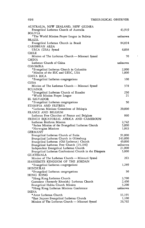$\ddot{\phantom{1}}$ 

| AUSTRALIA, NEW ZEALAND, NEW GUINEA<br>Evangelical Lutheran Church of Australia | 43,919  |
|--------------------------------------------------------------------------------|---------|
| <b>BOLIVIA</b>                                                                 |         |
| *The World Mission Prayer League in Bolivia                                    | unknown |
| <b>BRAZIL</b>                                                                  |         |
| Evangelical Lutheran Church in Brazil                                          | 84,024  |
| CARIBBEAN AREA                                                                 |         |
| ULCA (USA) Synod                                                               | 6,038   |
| CHILE                                                                          |         |
| Mission of The Lutheran Church — Missouri Synod                                | 70      |
| CHINA                                                                          |         |
| Lutheran Church of China                                                       | unknown |
| COLOMBIA                                                                       |         |
| *Evangelical Lutheran Church in Colombia                                       | 2,000   |
| *Mission of the ELC and UELC, USA                                              | 1,000   |
| COSTA RICA                                                                     |         |
| *Evangelical Lutheran congregations                                            | 100     |
| CUBA                                                                           |         |
| Mission of The Lutheran Church - Missouri Synod                                | 378     |
| <b>ECUADOR</b>                                                                 |         |
| *Evangelical Lutheran Church of Ecuador                                        | 250     |
| *World Mission Prayer League                                                   | 21      |
| EL SALVADOR                                                                    |         |
| *Evangelical Lutheran congregations                                            | 50      |
| ETHIOPIA AND ERITREA                                                           |         |
| *Lutheran Missions Committee of Ethiopia                                       | 20,000  |
| FRANCE AND BELGIUM                                                             |         |
| Lutheran Free Churches of France and Belgium                                   | 860     |
| FRENCH EQUATORIAL AFRICA AND CAMEROUN                                          |         |
| Lutheran Brethren Mission                                                      | 2,742   |
| *Sudan Mission of the Evangelical Lutheran Church                              | 5,000   |
| *Norwegian Missions                                                            | 1,863   |
| <b>GERMANY</b>                                                                 |         |
| Evangelical Lutheran Church of Eutin                                           | 91,000  |
| Evangelical Lutheran Church in Oldenburg                                       | 543,000 |
| Evangelical Lutheran (Old Lutheran) Church                                     | 40,000  |
| Evangelical Lutheran Free Church [15,184]                                      | unknown |
| Independent Evangelical Lutheran Church                                        | 21,000  |
| Evangelical Lutheran Confessional Church in the Diaspora                       | 5,000   |
| GUATEMALA                                                                      |         |
| Mission of The Lutheran Church — Missouri Synod                                | 263     |
| HASHEMITE KINGDOM OF THE JORDAN                                                |         |
| *Evangelical Lutheran congregations                                            | 1,289   |
| HONDURAS                                                                       |         |
| *Evangelical Lutheran congregations                                            | 50      |
| HONG KONG                                                                      |         |
| *Hong Kong Lutheran Church                                                     | 3,700   |
| Cantonese (formerly Rhenish) Lutheran Church                                   | 2,400   |
| Evangelical Hakka Church Mission                                               | 3,200   |
| *Hong Kong Lutheran Missions Conference                                        | unknown |
| <b>INDIA</b>                                                                   |         |
| *Arcot Lutheran Church                                                         | 11,191  |
| *East Jeypore Evangelical Lutheran Church                                      | 1,100   |
| Mission of The Lutheran Church — Missouri Synod                                | 26,702  |
|                                                                                |         |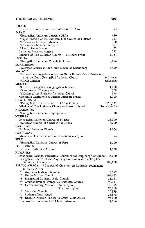| ISRAEL                                                                                        |                          |
|-----------------------------------------------------------------------------------------------|--------------------------|
| *Lutheran congregations in Haifa and Tel Aviv                                                 | 94                       |
| JAPAN                                                                                         |                          |
| *Evangelical Lutheran Church (USA)                                                            | 480                      |
| *Japan Mission of the Lutheran Free Church of Norway                                          | 133                      |
| *Norwegian Lutheran Mission                                                                   | 380                      |
| *Norwegian Mission Society                                                                    | 191<br>52                |
| *Suomi Synod Mission<br>Lutheran Brethren Mission                                             | 272                      |
| Mission of The Lutheran Church — Missouri Synod                                               | 1,131                    |
| LIBERIA                                                                                       |                          |
| *Evangelical Lutheran Church in Liberia                                                       | 3,874                    |
| LUXEMBURG                                                                                     |                          |
| Protestant Church in the Grand Duchy of Luxemburg                                             | 4,400                    |
| MALAYA                                                                                        |                          |
| *Lutheran congregations related to Huria Kristen Batak Protestant                             |                          |
| and the Tamil Evangelical Lutheran Church                                                     | unknown                  |
| *ULCA Mission                                                                                 | unknown                  |
| MEXICO                                                                                        |                          |
| *German Evangelical Congregation Mexico                                                       | 1,200                    |
| *Scandinavian Congregation                                                                    | 300                      |
| *Mission of the American Lutheran Church                                                      | 858                      |
| Concordia Conference of Mexico Missouri Synod                                                 | 1,000                    |
| NEW GUINEA                                                                                    |                          |
| *Evangelical Lutheran Church of New Guinea<br>Mission of The Lutheran Church — Missouri Synod | 150,037<br>See Australia |
| NICARAGUA                                                                                     |                          |
| *Evangelical Lutheran congregations                                                           | 50                       |
| NIGERIA                                                                                       |                          |
| Evangelical Lutheran Church of Nigeria                                                        | 28,000                   |
| *Lutheran Church of Christ in the Sudan                                                       | 6,000                    |
| PAKISTAN                                                                                      |                          |
| Pakistani Lutheran Church                                                                     | 1,064                    |
| PARAGUAY                                                                                      |                          |
| Mission of The Lutheran Church - Missouri Synod                                               | 394                      |
| PERU                                                                                          |                          |
| *Evangelical Lutheran Church of Peru                                                          | 1,200                    |
| PHILIPPINES                                                                                   |                          |
| Lutheran Philippine Mission                                                                   | 1,738                    |
| RUMANIA                                                                                       |                          |
| Evangelical Synodal Presbyteral Church of the Augsburg Confession                             | 35,000                   |
| Evangelical Church of the Augsburg Confession in the People's                                 |                          |
| Republic of Rumania                                                                           | 180,000                  |
| SOUTH AFRICA - * Council of Churches on Lutheran Foundation                                   |                          |
| in South Africa                                                                               |                          |
| *1. American Lutheran Mission                                                                 | 16,572                   |
| *2. Berlin Mission Church<br>*3. Evangelical Lutheran Zulu Church                             | 108,647<br>21,681        |
| *4. Ovambokavango Evangelical Lutheran Church                                                 | 90,013                   |
| *5. Hermannsburg Mission — Natal Synod                                                        | 30,395                   |
| Transvaal Synod                                                                               | 93,988                   |
| 6. Moravian Church                                                                            | 20,929                   |
| *7. Lutheran Zulu Synod                                                                       | 26,878                   |
| *8. Rhenish Mission Society in South-West Africa                                              | 95,000                   |
| Hannoverian Lutheran Free Church Mission                                                      | 14,506                   |